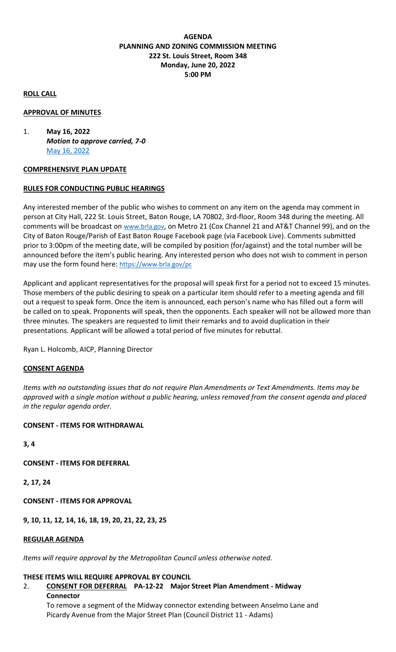## **AGENDA PLANNING AND ZONING COMMISSION MEETING 222 St. Louis Street, Room 348 Monday, June 20, 2022 5:00 PM**

### **ROLL CALL**

### **APPROVAL OF MINUTES**

1. **May 16, 2022**  *Motion to approve carried, 7-0* [May 16, 2022](http://hdlegisuite.brgov.com/attachments/2022/May_16_2022_Draft%20Minutes_327C1C73.docx)

### **COMPREHENSIVE PLAN UPDATE**

## **RULES FOR CONDUCTING PUBLIC HEARINGS**

Any interested member of the public who wishes to comment on any item on the agenda may comment in person at City Hall, 222 St. Louis Street, Baton Rouge, LA 70802, 3rd-floor, Room 348 during the meeting. All comments will be broadcast on [www.brla.gov](https://www.brla.gov/), on Metro 21 (Cox Channel 21 and AT&T Channel 99), and on the City of Baton Rouge/Parish of East Baton Rouge Facebook page (via Facebook Live). Comments submitted prior to 3:00pm of the meeting date, will be compiled by position (for/against) and the total number will be announced before the item's public hearing. Any interested person who does not wish to comment in person may use the form found here: <https://www.brla.gov/pc>

Applicant and applicant representatives for the proposal will speak first for a period not to exceed 15 minutes. Those members of the public desiring to speak on a particular item should refer to a meeting agenda and fill out a request to speak form. Once the item is announced, each person's name who has filled out a form will be called on to speak. Proponents will speak, then the opponents. Each speaker will not be allowed more than three minutes. The speakers are requested to limit their remarks and to avoid duplication in their presentations. Applicant will be allowed a total period of five minutes for rebuttal.

Ryan L. Holcomb, AICP, Planning Director

### **CONSENT AGENDA**

*Items with no outstanding issues that do not require Plan Amendments or Text Amendments. Items may be approved with a single motion without a public hearing, unless removed from the consent agenda and placed in the regular agenda order.*

### **CONSENT - ITEMS FOR WITHDRAWAL**

**3, 4**

**CONSENT - ITEMS FOR DEFERRAL**

**2, 17, 24**

**CONSENT - ITEMS FOR APPROVAL**

**9, 10, 11, 12, 14, 16, 18, 19, 20, 21, 22, 23, 25**

### **REGULAR AGENDA**

*Items will require approval by the Metropolitan Council unless otherwise noted.*

### **THESE ITEMS WILL REQUIRE APPROVAL BY COUNCIL**

# 2. **CONSENT FOR DEFERRAL PA-12-22 Major Street Plan Amendment - Midway Connector**

To remove a segment of the Midway connector extending between Anselmo Lane and Picardy Avenue from the Major Street Plan (Council District 11 - Adams)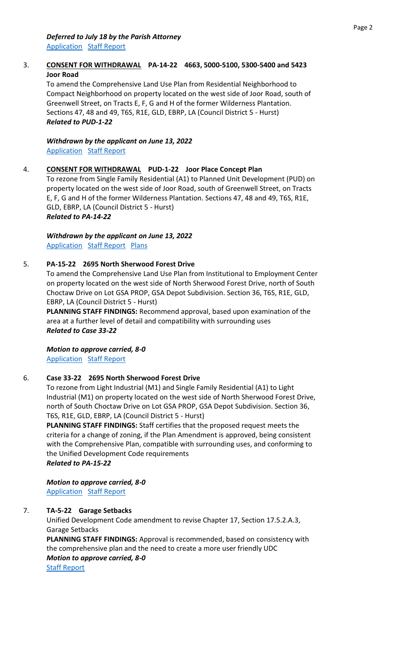## 3. **CONSENT FOR WITHDRAWAL PA-14-22 4663, 5000-5100, 5300-5400 and 5423 Joor Road**

To amend the Comprehensive Land Use Plan from Residential Neighborhood to Compact Neighborhood on property located on the west side of Joor Road, south of Greenwell Street, on Tracts E, F, G and H of the former Wilderness Plantation. Sections 47, 48 and 49, T6S, R1E, GLD, EBRP, LA (Council District 5 - Hurst) *Related to PUD-1-22* 

*Withdrawn by the applicant on June 13, 2022* [Application](http://hdlegisuite.brgov.com/attachments/2022/PA-14-22_9C887642.pdf) [Staff Report](http://hdlegisuite.brgov.com/attachments/2022/PA-14-22sr_35E14478.pdf)

## 4. **CONSENT FOR WITHDRAWAL PUD-1-22 Joor Place Concept Plan**

To rezone from Single Family Residential (A1) to Planned Unit Development (PUD) on property located on the west side of Joor Road, south of Greenwell Street, on Tracts E, F, G and H of the former Wilderness Plantation. Sections 47, 48 and 49, T6S, R1E, GLD, EBRP, LA (Council District 5 - Hurst) *Related to PA-14-22*

*Withdrawn by the applicant on June 13, 2022*  [Application](http://hdlegisuite.brgov.com/attachments/2022/PUD-1-22_47690ABC.pdf) [Staff Report](http://hdlegisuite.brgov.com/attachments/2022/PUD-1-22sr_2BEDD9E5.pdf) [Plans](http://hdlegisuite.brgov.com/attachments/2022/PUD-1-22%20PLANS_B6E0DE96.pdf)

## 5. **PA-15-22 2695 North Sherwood Forest Drive**

To amend the Comprehensive Land Use Plan from Institutional to Employment Center on property located on the west side of North Sherwood Forest Drive, north of South Choctaw Drive on Lot GSA PROP, GSA Depot Subdivision. Section 36, T6S, R1E, GLD, EBRP, LA (Council District 5 - Hurst)

**PLANNING STAFF FINDINGS:** Recommend approval, based upon examination of the area at a further level of detail and compatibility with surrounding uses *Related to Case 33-22*

*Motion to approve carried, 8-0*  [Application](http://hdlegisuite.brgov.com/attachments/2022/PA-15-22_B656FAA1.pdf) [Staff Report](http://hdlegisuite.brgov.com/attachments/2022/PA-15-22sr_350F85B9.pdf)

### 6. **Case 33-22 2695 North Sherwood Forest Drive**

To rezone from Light Industrial (M1) and Single Family Residential (A1) to Light Industrial (M1) on property located on the west side of North Sherwood Forest Drive, north of South Choctaw Drive on Lot GSA PROP, GSA Depot Subdivision. Section 36, T6S, R1E, GLD, EBRP, LA (Council District 5 - Hurst)

**PLANNING STAFF FINDINGS:** Staff certifies that the proposed request meets the criteria for a change of zoning, if the Plan Amendment is approved, being consistent with the Comprehensive Plan, compatible with surrounding uses, and conforming to the Unified Development Code requirements *Related to PA-15-22*

*Motion to approve carried, 8-0*  [Application](http://hdlegisuite.brgov.com/attachments/2022/Case%2033-22_3D9412EA.pdf) [Staff Report](http://hdlegisuite.brgov.com/attachments/2022/CASE%2033-22sr_4681E3D2.pdf)

## 7. **TA-5-22 Garage Setbacks**

Unified Development Code amendment to revise Chapter 17, Section 17.5.2.A.3, Garage Setbacks

**PLANNING STAFF FINDINGS:** Approval is recommended, based on consistency with the comprehensive plan and the need to create a more user friendly UDC *Motion to approve carried, 8-0* 

[Staff Report](http://hdlegisuite.brgov.com/attachments/2022/TA-5-22sr_FC42FB1E.pdf)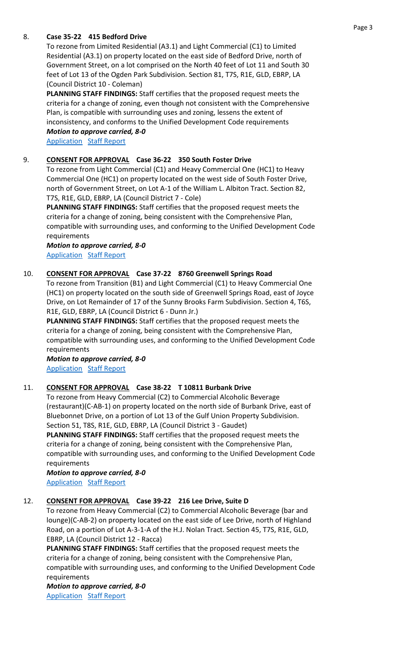## 8. **Case 35-22 415 Bedford Drive**

To rezone from Limited Residential (A3.1) and Light Commercial (C1) to Limited Residential (A3.1) on property located on the east side of Bedford Drive, north of Government Street, on a lot comprised on the North 40 feet of Lot 11 and South 30 feet of Lot 13 of the Ogden Park Subdivision. Section 81, T7S, R1E, GLD, EBRP, LA (Council District 10 - Coleman)

**PLANNING STAFF FINDINGS:** Staff certifies that the proposed request meets the criteria for a change of zoning, even though not consistent with the Comprehensive Plan, is compatible with surrounding uses and zoning, lessens the extent of inconsistency, and conforms to the Unified Development Code requirements

*Motion to approve carried, 8-0*  [Application](http://hdlegisuite.brgov.com/attachments/2022/Case%2035-22_8DA8274B.pdf) [Staff Report](http://hdlegisuite.brgov.com/attachments/2022/CASE%2035-22sr_73810FA7.pdf)

### 9. **CONSENT FOR APPROVAL Case 36-22 350 South Foster Drive**

To rezone from Light Commercial (C1) and Heavy Commercial One (HC1) to Heavy Commercial One (HC1) on property located on the west side of South Foster Drive, north of Government Street, on Lot A-1 of the William L. Albiton Tract. Section 82, T7S, R1E, GLD, EBRP, LA (Council District 7 - Cole)

**PLANNING STAFF FINDINGS:** Staff certifies that the proposed request meets the criteria for a change of zoning, being consistent with the Comprehensive Plan, compatible with surrounding uses, and conforming to the Unified Development Code requirements

#### *Motion to approve carried, 8-0*  [Application](http://hdlegisuite.brgov.com/attachments/2022/Case%2036-22_234F0DD0.pdf) [Staff Report](http://hdlegisuite.brgov.com/attachments/2022/CASE%2036-22sr_E25FD728.pdf)

### 10. **CONSENT FOR APPROVAL Case 37-22 8760 Greenwell Springs Road**

To rezone from Transition (B1) and Light Commercial (C1) to Heavy Commercial One (HC1) on property located on the south side of Greenwell Springs Road, east of Joyce Drive, on Lot Remainder of 17 of the Sunny Brooks Farm Subdivision. Section 4, T6S, R1E, GLD, EBRP, LA (Council District 6 - Dunn Jr.)

**PLANNING STAFF FINDINGS:** Staff certifies that the proposed request meets the criteria for a change of zoning, being consistent with the Comprehensive Plan, compatible with surrounding uses, and conforming to the Unified Development Code requirements

*Motion to approve carried, 8-0*  [Application](http://hdlegisuite.brgov.com/attachments/2022/Case%2037-22_65C7EF55.pdf) [Staff Report](http://hdlegisuite.brgov.com/attachments/2022/CASE%2037-22sr_A4C79199.pdf)

### 11. **CONSENT FOR APPROVAL Case 38-22 T 10811 Burbank Drive**

To rezone from Heavy Commercial (C2) to Commercial Alcoholic Beverage (restaurant)(C-AB-1) on property located on the north side of Burbank Drive, east of Bluebonnet Drive, on a portion of Lot 13 of the Gulf Union Property Subdivision. Section 51, T8S, R1E, GLD, EBRP, LA (Council District 3 - Gaudet) **PLANNING STAFF FINDINGS:** Staff certifies that the proposed request meets the criteria for a change of zoning, being consistent with the Comprehensive Plan, compatible with surrounding uses, and conforming to the Unified Development Code requirements

*Motion to approve carried, 8-0*  [Application](http://hdlegisuite.brgov.com/attachments/2022/Case%2038-22_95560FD2.pdf) [Staff Report](http://hdlegisuite.brgov.com/attachments/2022/CASE%2038-22sr_EED758F2.pdf)

### 12. **CONSENT FOR APPROVAL Case 39-22 216 Lee Drive, Suite D**

To rezone from Heavy Commercial (C2) to Commercial Alcoholic Beverage (bar and lounge)(C-AB-2) on property located on the east side of Lee Drive, north of Highland Road, on a portion of Lot A-3-1-A of the H.J. Nolan Tract. Section 45, T7S, R1E, GLD, EBRP, LA (Council District 12 - Racca)

**PLANNING STAFF FINDINGS:** Staff certifies that the proposed request meets the criteria for a change of zoning, being consistent with the Comprehensive Plan, compatible with surrounding uses, and conforming to the Unified Development Code requirements

*Motion to approve carried, 8-0*  **[Application](http://hdlegisuite.brgov.com/attachments/2022/Case%2039-22_8DF35737.pdf) [Staff Report](http://hdlegisuite.brgov.com/attachments/2022/CASE%2039-22sr_9B9661C3.pdf)**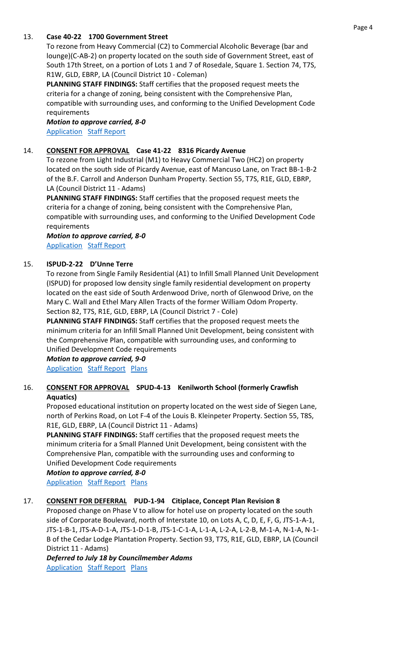## 13. **Case 40-22 1700 Government Street**

To rezone from Heavy Commercial (C2) to Commercial Alcoholic Beverage (bar and lounge)(C-AB-2) on property located on the south side of Government Street, east of South 17th Street, on a portion of Lots 1 and 7 of Rosedale, Square 1. Section 74, T7S, R1W, GLD, EBRP, LA (Council District 10 - Coleman)

**PLANNING STAFF FINDINGS:** Staff certifies that the proposed request meets the criteria for a change of zoning, being consistent with the Comprehensive Plan, compatible with surrounding uses, and conforming to the Unified Development Code requirements

*Motion to approve carried, 8-0*  **[Application](http://hdlegisuite.brgov.com/attachments/2022/Case%2040-22_7449D5B0.pdf) [Staff Report](http://hdlegisuite.brgov.com/attachments/2022/CASE%2040-22sr_470BF3EA.pdf)** 

## 14. **CONSENT FOR APPROVAL Case 41-22 8316 Picardy Avenue**

To rezone from Light Industrial (M1) to Heavy Commercial Two (HC2) on property located on the south side of Picardy Avenue, east of Mancuso Lane, on Tract BB-1-B-2 of the B.F. Carroll and Anderson Dunham Property. Section 55, T7S, R1E, GLD, EBRP, LA (Council District 11 - Adams)

**PLANNING STAFF FINDINGS:** Staff certifies that the proposed request meets the criteria for a change of zoning, being consistent with the Comprehensive Plan, compatible with surrounding uses, and conforming to the Unified Development Code requirements

*Motion to approve carried, 8-0*  [Application](http://hdlegisuite.brgov.com/attachments/2022/Case-41-22_99877EF9.pdf) [Staff Report](http://hdlegisuite.brgov.com/attachments/2022/CASE%2041-22sr_D3DEFCBB.pdf)

## 15. **ISPUD-2-22 D'Unne Terre**

To rezone from Single Family Residential (A1) to Infill Small Planned Unit Development (ISPUD) for proposed low density single family residential development on property located on the east side of South Ardenwood Drive, north of Glenwood Drive, on the Mary C. Wall and Ethel Mary Allen Tracts of the former William Odom Property. Section 82, T7S, R1E, GLD, EBRP, LA (Council District 7 - Cole)

**PLANNING STAFF FINDINGS:** Staff certifies that the proposed request meets the minimum criteria for an Infill Small Planned Unit Development, being consistent with the Comprehensive Plan, compatible with surrounding uses, and conforming to Unified Development Code requirements

*Motion to approve carried, 9-0* 

**[Application](http://hdlegisuite.brgov.com/attachments/2022/ISPUD-2-22_C9C8890D.pdf) [Staff Report](http://hdlegisuite.brgov.com/attachments/2022/ISPUD-2-22sr_3D0EDCE0.pdf) [Plans](http://hdlegisuite.brgov.com/attachments/2022/ISPUD-2-22%20PLANS_C9202F2B.pdf)** 

## 16. **CONSENT FOR APPROVAL SPUD-4-13 Kenilworth School (formerly Crawfish Aquatics)**

Proposed educational institution on property located on the west side of Siegen Lane, north of Perkins Road, on Lot F-4 of the Louis B. Kleinpeter Property. Section 55, T8S, R1E, GLD, EBRP, LA (Council District 11 - Adams)

**PLANNING STAFF FINDINGS:** Staff certifies that the proposed request meets the minimum criteria for a Small Planned Unit Development, being consistent with the Comprehensive Plan, compatible with the surrounding uses and conforming to Unified Development Code requirements

*Motion to approve carried, 8-0*  **[Application](http://hdlegisuite.brgov.com/attachments/2022/SPUD-4-13_EB723DC4.pdf) [Staff Report](http://hdlegisuite.brgov.com/attachments/2022/SPUD-4-13sr_A9D20352.pdf) [Plans](http://hdlegisuite.brgov.com/attachments/2022/SPUD-4-13%20PLANS_EE455E8D.pdf)** 

### 17. **CONSENT FOR DEFERRAL PUD-1-94 Citiplace, Concept Plan Revision 8**

Proposed change on Phase V to allow for hotel use on property located on the south side of Corporate Boulevard, north of Interstate 10, on Lots A, C, D, E, F, G, JTS-1-A-1, JTS-1-B-1, JTS-A-D-1-A, JTS-1-D-1-B, JTS-1-C-1-A, L-1-A, L-2-A, L-2-B, M-1-A, N-1-A, N-1- B of the Cedar Lodge Plantation Property. Section 93, T7S, R1E, GLD, EBRP, LA (Council District 11 - Adams)

*Deferred to July 18 by Councilmember Adams* **[Application](http://hdlegisuite.brgov.com/attachments/2022/PUD-1-94%20CP%20REV8_785B4310.pdf) [Staff Report](http://hdlegisuite.brgov.com/attachments/2022/PUD-1-94sr_DA109BE.pdf) [Plans](http://hdlegisuite.brgov.com/attachments/2022/PUD-1-94%20PLANS_838A988F.pdf)**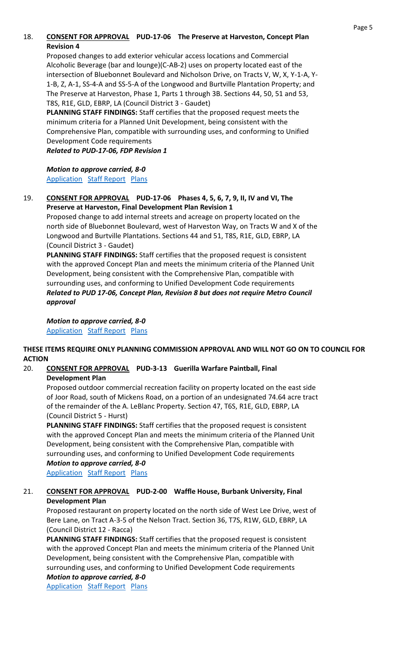# 18. **CONSENT FOR APPROVAL PUD-17-06 The Preserve at Harveston, Concept Plan Revision 4**

Proposed changes to add exterior vehicular access locations and Commercial Alcoholic Beverage (bar and lounge)(C-AB-2) uses on property located east of the intersection of Bluebonnet Boulevard and Nicholson Drive, on Tracts V, W, X, Y-1-A, Y-1-B, Z, A-1, SS-4-A and SS-5-A of the Longwood and Burtville Plantation Property; and The Preserve at Harveston, Phase 1, Parts 1 through 3B. Sections 44, 50, 51 and 53, T8S, R1E, GLD, EBRP, LA (Council District 3 - Gaudet)

**PLANNING STAFF FINDINGS:** Staff certifies that the proposed request meets the minimum criteria for a Planned Unit Development, being consistent with the Comprehensive Plan, compatible with surrounding uses, and conforming to Unified Development Code requirements

*Related to PUD-17-06, FDP Revision 1*

*Motion to approve carried, 8-0*  [Application](http://hdlegisuite.brgov.com/attachments/2022/PUD-17-06%20CP%20REV4_E36DDA40.pdf) [Staff Report](http://hdlegisuite.brgov.com/attachments/2022/PUD-17-06%20CP_REV4sr_DF6DC60.pdf) [Plans](http://hdlegisuite.brgov.com/attachments/2022/PUD-17-06%20CP%20REVISION%204%20PLANS_98738BD9.pdf)

### 19. **CONSENT FOR APPROVAL PUD-17-06 Phases 4, 5, 6, 7, 9, II, IV and VI, The Preserve at Harveston, Final Development Plan Revision 1**

Proposed change to add internal streets and acreage on property located on the north side of Bluebonnet Boulevard, west of Harveston Way, on Tracts W and X of the Longwood and Burtville Plantations. Sections 44 and 51, T8S, R1E, GLD, EBRP, LA (Council District 3 - Gaudet)

**PLANNING STAFF FINDINGS:** Staff certifies that the proposed request is consistent with the approved Concept Plan and meets the minimum criteria of the Planned Unit Development, being consistent with the Comprehensive Plan, compatible with surrounding uses, and conforming to Unified Development Code requirements *Related to PUD 17-06, Concept Plan, Revision 8 but does not require Metro Council approval*

*Motion to approve carried, 8-0*  [Application](http://hdlegisuite.brgov.com/attachments/2022/PUD-17-06%20FDP%20REV1_798480D4.pdf) [Staff Report](http://hdlegisuite.brgov.com/attachments/2022/PUD-17-06_FDPsr_FFEF28D4.pdf) [Plans](http://hdlegisuite.brgov.com/attachments/2022/PUD-17-06%20FDP%20PLANS_F4027F55.pdf)

## **THESE ITEMS REQUIRE ONLY PLANNING COMMISSION APPROVAL AND WILL NOT GO ON TO COUNCIL FOR ACTION**

#### 20. **CONSENT FOR APPROVAL PUD-3-13 Guerilla Warfare Paintball, Final Development Plan**

Proposed outdoor commercial recreation facility on property located on the east side of Joor Road, south of Mickens Road, on a portion of an undesignated 74.64 acre tract of the remainder of the A. LeBlanc Property. Section 47, T6S, R1E, GLD, EBRP, LA (Council District 5 - Hurst)

**PLANNING STAFF FINDINGS:** Staff certifies that the proposed request is consistent with the approved Concept Plan and meets the minimum criteria of the Planned Unit Development, being consistent with the Comprehensive Plan, compatible with surrounding uses, and conforming to Unified Development Code requirements *Motion to approve carried, 8-0* 

[Application](http://hdlegisuite.brgov.com/attachments/2022/PUD-3-13%20FDP_2AAEA7A8.pdf) [Staff Report](http://hdlegisuite.brgov.com/attachments/2022/PUD-3-13sr_99970FF.pdf) [Plans](http://hdlegisuite.brgov.com/attachments/2022/PUD-3-13%20PLANS_99AC3152.pdf)

## 21. **CONSENT FOR APPROVAL PUD-2-00 Waffle House, Burbank University, Final Development Plan**

Proposed restaurant on property located on the north side of West Lee Drive, west of Bere Lane, on Tract A-3-5 of the Nelson Tract. Section 36, T7S, R1W, GLD, EBRP, LA (Council District 12 - Racca)

**PLANNING STAFF FINDINGS:** Staff certifies that the proposed request is consistent with the approved Concept Plan and meets the minimum criteria of the Planned Unit Development, being consistent with the Comprehensive Plan, compatible with surrounding uses, and conforming to Unified Development Code requirements

*Motion to approve carried, 8-0*  **[Application](http://hdlegisuite.brgov.com/attachments/2022/PUD-2-00%20FDP%20revised_F5606750.pdf) [Staff Report](http://hdlegisuite.brgov.com/attachments/2022/PUD-2-00sr_15005ACA.pdf) [Plans](http://hdlegisuite.brgov.com/attachments/2022/PUD-2-00%20PLANS_4ECDF3EF.pdf)**